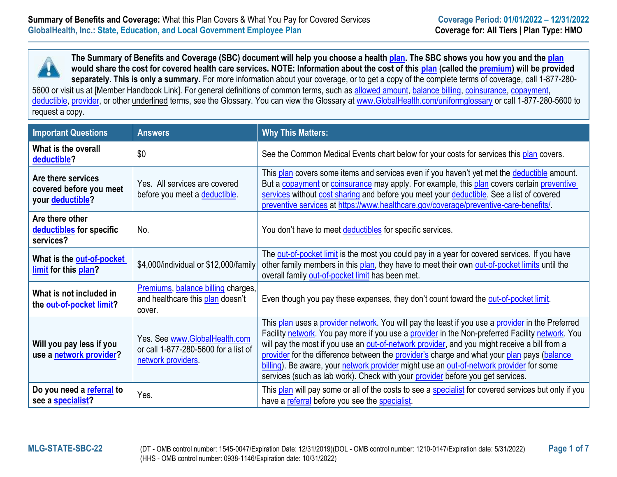

**The Summary of Benefits and Coverage (SBC) document will help you choose a healt[h plan.](https://www.healthcare.gov/sbc-glossary/#plan) The SBC shows you how you and the [plan](https://www.healthcare.gov/sbc-glossary/#plan) would share the cost for covered health care services. NOTE: Information about the cost of this [plan](https://www.healthcare.gov/sbc-glossary/#plan) (called the [premium\)](https://www.healthcare.gov/sbc-glossary/#premium) will be provided separately. This is only a summary.** For more information about your coverage, or to get a copy of the complete terms of coverage, call 1-877-280-

5600 or visit us at [Member Handbook Link]. For general definitions of common terms, such as [allowed amount,](https://www.healthcare.gov/sbc-glossary/#allowed-amount) [balance billing,](https://www.healthcare.gov/sbc-glossary/#balance-billing) [coinsurance,](https://www.healthcare.gov/sbc-glossary/#coinsurance) [copayment,](https://www.healthcare.gov/sbc-glossary/#copayment) [deductible,](https://www.healthcare.gov/sbc-glossary/#deductible) [provider,](https://www.healthcare.gov/sbc-glossary/#provider) or other underlined terms, see the Glossary. You can view the Glossary at [www.GlobalHealth.com/uniformglossary](https://globalhealth.com/media/3458/2017_uniformglossary.pdf) or call 1-877-280-5600 to request a copy.

| <b>Important Questions</b>                                        | <b>Answers</b>                                                                             | <b>Why This Matters:</b>                                                                                                                                                                                                                                                                                                                                                                                                                                                                                                                                                       |  |  |
|-------------------------------------------------------------------|--------------------------------------------------------------------------------------------|--------------------------------------------------------------------------------------------------------------------------------------------------------------------------------------------------------------------------------------------------------------------------------------------------------------------------------------------------------------------------------------------------------------------------------------------------------------------------------------------------------------------------------------------------------------------------------|--|--|
| What is the overall<br>deductible?                                | \$0                                                                                        | See the Common Medical Events chart below for your costs for services this plan covers.                                                                                                                                                                                                                                                                                                                                                                                                                                                                                        |  |  |
| Are there services<br>covered before you meet<br>your deductible? | Yes. All services are covered<br>before you meet a deductible.                             | This plan covers some items and services even if you haven't yet met the deductible amount.<br>But a copayment or coinsurance may apply. For example, this plan covers certain preventive<br>services without cost sharing and before you meet your deductible. See a list of covered<br>preventive services at https://www.healthcare.gov/coverage/preventive-care-benefits/                                                                                                                                                                                                  |  |  |
| Are there other<br>deductibles for specific<br>services?          | No.                                                                                        | You don't have to meet deductibles for specific services.                                                                                                                                                                                                                                                                                                                                                                                                                                                                                                                      |  |  |
| What is the out-of-pocket<br>limit for this plan?                 | \$4,000/individual or \$12,000/family                                                      | The out-of-pocket limit is the most you could pay in a year for covered services. If you have<br>other family members in this plan, they have to meet their own out-of-pocket limits until the<br>overall family out-of-pocket limit has been met.                                                                                                                                                                                                                                                                                                                             |  |  |
| What is not included in<br>the out-of-pocket limit?               | Premiums, balance billing charges,<br>and healthcare this plan doesn't<br>cover.           | Even though you pay these expenses, they don't count toward the out-of-pocket limit.                                                                                                                                                                                                                                                                                                                                                                                                                                                                                           |  |  |
| Will you pay less if you<br>use a network provider?               | Yes. See www.GlobalHealth.com<br>or call 1-877-280-5600 for a list of<br>network providers | This plan uses a provider network. You will pay the least if you use a provider in the Preferred<br>Facility network. You pay more if you use a provider in the Non-preferred Facility network. You<br>will pay the most if you use an out-of-network provider, and you might receive a bill from a<br>provider for the difference between the provider's charge and what your plan pays (balance<br>billing). Be aware, your network provider might use an out-of-network provider for some<br>services (such as lab work). Check with your provider before you get services. |  |  |
| Do you need a referral to<br>see a specialist?                    | Yes.                                                                                       | This plan will pay some or all of the costs to see a specialist for covered services but only if you<br>have a referral before you see the specialist.                                                                                                                                                                                                                                                                                                                                                                                                                         |  |  |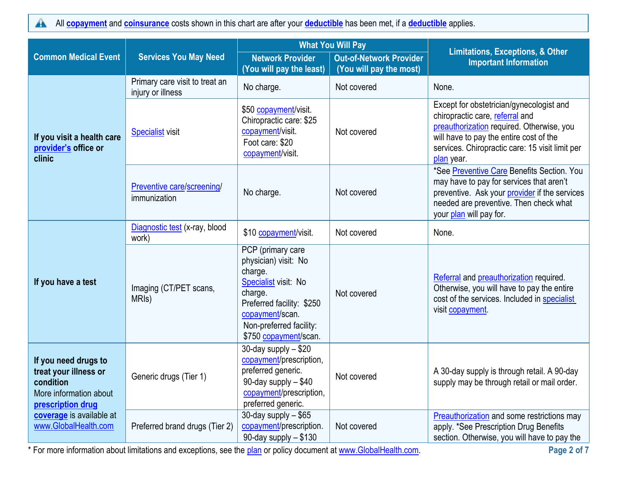All **[copayment](https://www.healthcare.gov/sbc-glossary/#copayment)** and **[coinsurance](https://www.healthcare.gov/sbc-glossary/#coinsurance)** costs shown in this chart are after your **[deductible](https://www.healthcare.gov/sbc-glossary/#deductible)** has been met, if a **[deductible](https://www.healthcare.gov/sbc-glossary/#deductible)** applies.  $\blacktriangle$ 

|                                                                                                           |                                                     | <b>What You Will Pay</b>                                                                                                                                                                    |                                                           | <b>Limitations, Exceptions, &amp; Other</b>                                                                                                                                                                                          |  |
|-----------------------------------------------------------------------------------------------------------|-----------------------------------------------------|---------------------------------------------------------------------------------------------------------------------------------------------------------------------------------------------|-----------------------------------------------------------|--------------------------------------------------------------------------------------------------------------------------------------------------------------------------------------------------------------------------------------|--|
| <b>Common Medical Event</b>                                                                               | <b>Services You May Need</b>                        | <b>Network Provider</b><br>(You will pay the least)                                                                                                                                         | <b>Out-of-Network Provider</b><br>(You will pay the most) | <b>Important Information</b>                                                                                                                                                                                                         |  |
| If you visit a health care<br>provider's office or<br>clinic                                              | Primary care visit to treat an<br>injury or illness | No charge.                                                                                                                                                                                  | Not covered                                               | None.                                                                                                                                                                                                                                |  |
|                                                                                                           | <b>Specialist</b> visit                             | \$50 copayment/visit.<br>Chiropractic care: \$25<br>copayment/visit.<br>Foot care: \$20<br>copayment/visit.                                                                                 | Not covered                                               | Except for obstetrician/gynecologist and<br>chiropractic care, referral and<br>preauthorization required. Otherwise, you<br>will have to pay the entire cost of the<br>services. Chiropractic care: 15 visit limit per<br>plan year. |  |
|                                                                                                           | Preventive care/screening/<br>immunization          | No charge.                                                                                                                                                                                  | Not covered                                               | *See Preventive Care Benefits Section. You<br>may have to pay for services that aren't<br>preventive. Ask your provider if the services<br>needed are preventive. Then check what<br>your plan will pay for.                         |  |
| If you have a test                                                                                        | Diagnostic test (x-ray, blood<br>work)              | \$10 copayment/visit.                                                                                                                                                                       | Not covered                                               | None.                                                                                                                                                                                                                                |  |
|                                                                                                           | Imaging (CT/PET scans,<br>MRI <sub>s</sub> )        | PCP (primary care<br>physician) visit: No<br>charge.<br>Specialist visit: No<br>charge.<br>Preferred facility: \$250<br>copayment/scan.<br>Non-preferred facility:<br>\$750 copayment/scan. | Not covered                                               | Referral and preauthorization required.<br>Otherwise, you will have to pay the entire<br>cost of the services. Included in specialist<br>visit copayment                                                                             |  |
| If you need drugs to<br>treat your illness or<br>condition<br>More information about<br>prescription drug | Generic drugs (Tier 1)                              | 30-day supply - \$20<br>copayment/prescription,<br>preferred generic.<br>90-day supply - \$40<br>copayment/prescription,<br>preferred generic.                                              | Not covered                                               | A 30-day supply is through retail. A 90-day<br>supply may be through retail or mail order.                                                                                                                                           |  |
| coverage is available at<br>www.GlobalHealth.com                                                          | Preferred brand drugs (Tier 2)                      | 30-day supply - \$65<br>copayment/prescription.<br>90-day supply - \$130                                                                                                                    | Not covered                                               | Preauthorization and some restrictions may<br>apply. *See Prescription Drug Benefits<br>section. Otherwise, you will have to pay the                                                                                                 |  |

\* For more information about limitations and exceptions, see the [plan](https://www.healthcare.gov/sbc-glossary/#plan) or policy document at [www.GlobalHealth.com.](http://www.globalhealth.com/) **Page 2 of 7**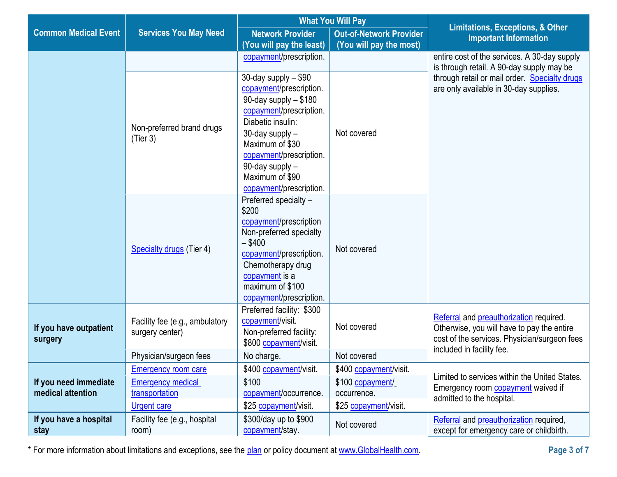|                                            |                                                   | <b>What You Will Pay</b>                                                                                                                                                                                                                                     |                                | <b>Limitations, Exceptions, &amp; Other</b>                                                                                                                        |  |
|--------------------------------------------|---------------------------------------------------|--------------------------------------------------------------------------------------------------------------------------------------------------------------------------------------------------------------------------------------------------------------|--------------------------------|--------------------------------------------------------------------------------------------------------------------------------------------------------------------|--|
| <b>Common Medical Event</b>                | <b>Services You May Need</b>                      | <b>Network Provider</b>                                                                                                                                                                                                                                      | <b>Out-of-Network Provider</b> | <b>Important Information</b>                                                                                                                                       |  |
|                                            |                                                   | (You will pay the least)                                                                                                                                                                                                                                     | (You will pay the most)        |                                                                                                                                                                    |  |
|                                            |                                                   | copayment/prescription.                                                                                                                                                                                                                                      |                                | entire cost of the services. A 30-day supply<br>is through retail. A 90-day supply may be                                                                          |  |
|                                            | Non-preferred brand drugs<br>(Tier 3)             | 30-day supply $-$ \$90<br>copayment/prescription.<br>90-day supply - \$180<br>copayment/prescription.<br>Diabetic insulin:<br>30-day supply -<br>Maximum of \$30<br>copayment/prescription.<br>90-day supply -<br>Maximum of \$90<br>copayment/prescription. | Not covered                    | through retail or mail order. Specialty drugs<br>are only available in 30-day supplies.                                                                            |  |
|                                            | Specialty drugs (Tier 4)                          | Preferred specialty -<br>\$200<br>copayment/prescription<br>Non-preferred specialty<br>$-$ \$400<br>copayment/prescription.<br>Chemotherapy drug<br>copayment is a<br>maximum of \$100<br>copayment/prescription.                                            | Not covered                    |                                                                                                                                                                    |  |
| If you have outpatient<br>surgery          | Facility fee (e.g., ambulatory<br>surgery center) | Preferred facility: \$300<br>copayment/visit.<br>Non-preferred facility:<br>\$800 copayment/visit.                                                                                                                                                           | Not covered                    | Referral and preauthorization required.<br>Otherwise, you will have to pay the entire<br>cost of the services. Physician/surgeon fees<br>included in facility fee. |  |
|                                            | Physician/surgeon fees                            | No charge.                                                                                                                                                                                                                                                   | Not covered                    |                                                                                                                                                                    |  |
|                                            | <b>Emergency room care</b>                        | \$400 copayment/visit.                                                                                                                                                                                                                                       | \$400 copayment/visit.         | Limited to services within the United States.                                                                                                                      |  |
| If you need immediate<br>medical attention | <b>Emergency medical</b>                          | \$100                                                                                                                                                                                                                                                        | \$100 copayment/               | Emergency room <b>copayment</b> waived if                                                                                                                          |  |
|                                            | transportation                                    | copayment/occurrence.                                                                                                                                                                                                                                        | occurrence.                    | admitted to the hospital.                                                                                                                                          |  |
|                                            | <b>Urgent care</b>                                | \$25 copayment/visit.                                                                                                                                                                                                                                        | \$25 copayment/visit.          |                                                                                                                                                                    |  |
| If you have a hospital<br>stay             | Facility fee (e.g., hospital<br>room)             | \$300/day up to \$900<br>copayment/stay.                                                                                                                                                                                                                     | Not covered                    | Referral and preauthorization required,<br>except for emergency care or childbirth.                                                                                |  |

\* For more information about limitations and exceptions, see the [plan](https://www.healthcare.gov/sbc-glossary/#plan) or policy document at [www.GlobalHealth.com.](http://www.globalhealth.com/) **Page 3 of 7**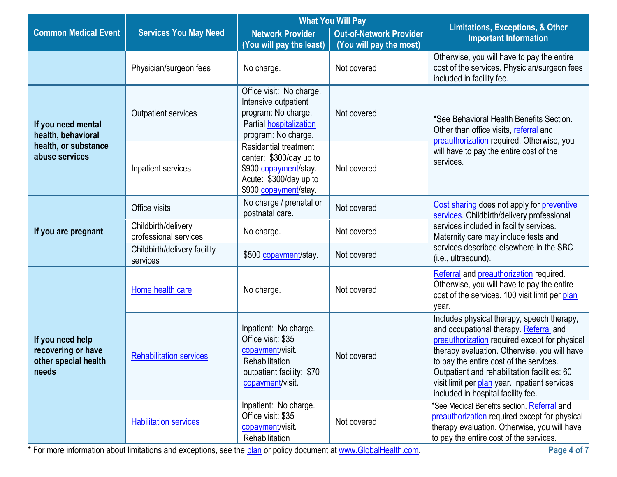|                                                                         |                                              | <b>What You Will Pay</b>                                                                                                            |                                                           |                                                                                                                                                                                                                                                                                                                                                                         |
|-------------------------------------------------------------------------|----------------------------------------------|-------------------------------------------------------------------------------------------------------------------------------------|-----------------------------------------------------------|-------------------------------------------------------------------------------------------------------------------------------------------------------------------------------------------------------------------------------------------------------------------------------------------------------------------------------------------------------------------------|
| <b>Common Medical Event</b>                                             | <b>Services You May Need</b>                 | <b>Network Provider</b><br>(You will pay the least)                                                                                 | <b>Out-of-Network Provider</b><br>(You will pay the most) | <b>Limitations, Exceptions, &amp; Other</b><br><b>Important Information</b>                                                                                                                                                                                                                                                                                             |
|                                                                         | Physician/surgeon fees                       | No charge.                                                                                                                          | Not covered                                               | Otherwise, you will have to pay the entire<br>cost of the services. Physician/surgeon fees<br>included in facility fee.                                                                                                                                                                                                                                                 |
| If you need mental<br>health, behavioral                                | <b>Outpatient services</b>                   | Office visit: No charge.<br>Intensive outpatient<br>program: No charge.<br>Partial hospitalization<br>program: No charge.           | Not covered                                               | *See Behavioral Health Benefits Section.<br>Other than office visits, referral and<br>preauthorization required. Otherwise, you<br>will have to pay the entire cost of the<br>services.                                                                                                                                                                                 |
| health, or substance<br>abuse services                                  | Inpatient services                           | <b>Residential treatment</b><br>center: \$300/day up to<br>\$900 copayment/stay.<br>Acute: \$300/day up to<br>\$900 copayment/stay. | Not covered                                               |                                                                                                                                                                                                                                                                                                                                                                         |
|                                                                         | Office visits                                | No charge / prenatal or<br>postnatal care.                                                                                          | Not covered                                               | Cost sharing does not apply for preventive<br>services. Childbirth/delivery professional<br>services included in facility services.<br>Maternity care may include tests and<br>services described elsewhere in the SBC<br>(i.e., ultrasound).                                                                                                                           |
| If you are pregnant                                                     | Childbirth/delivery<br>professional services | No charge.                                                                                                                          | Not covered                                               |                                                                                                                                                                                                                                                                                                                                                                         |
|                                                                         | Childbirth/delivery facility<br>services     | \$500 copayment/stay.                                                                                                               | Not covered                                               |                                                                                                                                                                                                                                                                                                                                                                         |
|                                                                         | Home health care                             | No charge.                                                                                                                          | Not covered                                               | Referral and preauthorization required.<br>Otherwise, you will have to pay the entire<br>cost of the services. 100 visit limit per plan<br>year.                                                                                                                                                                                                                        |
| If you need help<br>recovering or have<br>other special health<br>needs | <b>Rehabilitation services</b>               | Inpatient: No charge.<br>Office visit: \$35<br>copayment/visit.<br>Rehabilitation<br>outpatient facility: \$70<br>copayment/visit.  | Not covered                                               | Includes physical therapy, speech therapy,<br>and occupational therapy. Referral and<br>preauthorization required except for physical<br>therapy evaluation. Otherwise, you will have<br>to pay the entire cost of the services.<br>Outpatient and rehabilitation facilities: 60<br>visit limit per plan year. Inpatient services<br>included in hospital facility fee. |
|                                                                         | <b>Habilitation services</b>                 | Inpatient: No charge.<br>Office visit: \$35<br>copayment/visit.<br>Rehabilitation                                                   | Not covered                                               | *See Medical Benefits section. Referral and<br>preauthorization required except for physical<br>therapy evaluation. Otherwise, you will have<br>to pay the entire cost of the services.                                                                                                                                                                                 |

\* For more information about limitations and exceptions, see the [plan](https://www.healthcare.gov/sbc-glossary/#plan) or policy document at [www.GlobalHealth.com.](http://www.globalhealth.com/) **Page 4 of 7**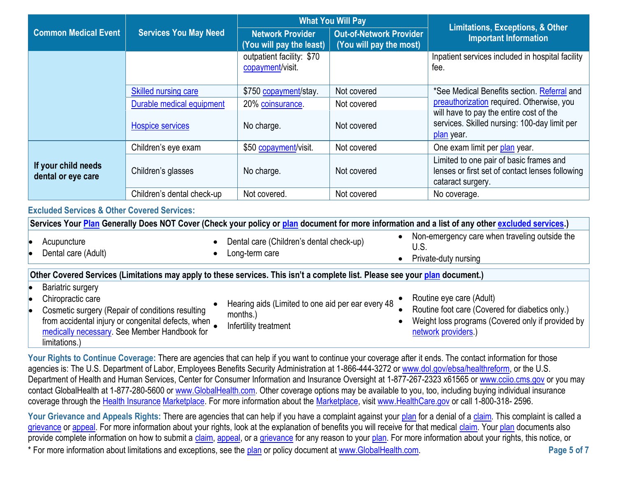|                                           |                              | <b>What You Will Pay</b>                            |                                                           | <b>Limitations, Exceptions, &amp; Other</b>                                                                     |  |
|-------------------------------------------|------------------------------|-----------------------------------------------------|-----------------------------------------------------------|-----------------------------------------------------------------------------------------------------------------|--|
| <b>Common Medical Event</b>               | <b>Services You May Need</b> | <b>Network Provider</b><br>(You will pay the least) | <b>Out-of-Network Provider</b><br>(You will pay the most) | <b>Important Information</b>                                                                                    |  |
|                                           |                              | outpatient facility: \$70<br>copayment/visit.       |                                                           | Inpatient services included in hospital facility<br>fee.                                                        |  |
|                                           | <b>Skilled nursing care</b>  | \$750 copayment/stay.                               | Not covered                                               | *See Medical Benefits section. Referral and                                                                     |  |
|                                           | Durable medical equipment    | 20% coinsurance.                                    | Not covered                                               | preauthorization required. Otherwise, you                                                                       |  |
|                                           | <b>Hospice services</b>      | No charge.                                          | Not covered                                               | will have to pay the entire cost of the<br>services. Skilled nursing: 100-day limit per<br>plan year.           |  |
|                                           | Children's eye exam          | \$50 copayment/visit.                               | Not covered                                               | One exam limit per plan year.                                                                                   |  |
| If your child needs<br>dental or eye care | Children's glasses           | No charge.                                          | Not covered                                               | Limited to one pair of basic frames and<br>lenses or first set of contact lenses following<br>cataract surgery. |  |
|                                           | Children's dental check-up   | Not covered.                                        | Not covered                                               | No coverage.                                                                                                    |  |

#### **Excluded Services & Other Covered Services:**

[medically necessary.](https://www.healthcare.gov/sbc-glossary/#medicallynecessary) See Member Handbook for

limitations.)

| Services Your Plan Generally Does NOT Cover (Check your policy or plan document for more information and a list of any other excluded services.)                                                                                                                                                                                                                                                                                                |                                                                                        |                                                                                                                                                                                                                                                                                                                                                                           |  |  |
|-------------------------------------------------------------------------------------------------------------------------------------------------------------------------------------------------------------------------------------------------------------------------------------------------------------------------------------------------------------------------------------------------------------------------------------------------|----------------------------------------------------------------------------------------|---------------------------------------------------------------------------------------------------------------------------------------------------------------------------------------------------------------------------------------------------------------------------------------------------------------------------------------------------------------------------|--|--|
| Acupuncture<br>Dental care (Adult)                                                                                                                                                                                                                                                                                                                                                                                                              | Dental care (Children's dental check-up)<br>Long-term care                             | Non-emergency care when traveling outside the<br>U.S.<br>Private-duty nursing                                                                                                                                                                                                                                                                                             |  |  |
| Other Covered Services (Limitations may apply to these services. This isn't a complete list. Please see your plan document.)                                                                                                                                                                                                                                                                                                                    |                                                                                        |                                                                                                                                                                                                                                                                                                                                                                           |  |  |
| <b>Bariatric surgery</b><br>Chiropractic care<br>Cosmetic surgery (Repair of conditions resulting<br>from accidental injury or congenital defects, when<br>$\sim$ 10 $\sim$ 10 $\sim$ 10 $\sim$ 11 $\sim$ 11 $\sim$ 11 $\sim$ 11 $\sim$ 11 $\sim$ 11 $\sim$ 11 $\sim$ 11 $\sim$ 11 $\sim$ 11 $\sim$ 11 $\sim$ 11 $\sim$ 11 $\sim$ 11 $\sim$ 11 $\sim$ 11 $\sim$ 11 $\sim$ 11 $\sim$ 11 $\sim$ 11 $\sim$ 11 $\sim$ 11 $\sim$ 11 $\sim$ 11 $\sim$ | Hearing aids (Limited to one aid per ear every 48<br>months.)<br>Infertility treatment | Routine eye care (Adult)<br>Routine foot care (Covered for diabetics only.)<br>Weight loss programs (Covered only if provided by<br>$\blacksquare$ . The set of the set of the set of the set of the set of the set of the set of the set of the set of the set of the set of the set of the set of the set of the set of the set of the set of the set of the set of the |  |  |

Your Rights to Continue Coverage: There are agencies that can help if you want to continue your coverage after it ends. The contact information for those agencies is: The U.S. Department of Labor, Employees Benefits Security Administration at 1-866-444-3272 or [www.dol.gov/ebsa/healthreform,](http://www.dol.gov/ebsa/healthreform) or the U.S. Department of Health and Human Services, Center for Consumer Information and Insurance Oversight at 1-877-267-2323 x61565 or [www.cciio.cms.gov](file://///mercury/GlobalHealth/Commercial%20Plans%20-%20New%20GHI/SBC) or you may contact GlobalHealth at 1-877-280-5600 or [www.GlobalHealth.com.](http://www.globalhealth.com/) Other coverage options may be available to you, too, including buying individual insurance coverage through the [Health Insurance](https://www.healthcare.gov/sbc-glossary/#health-insurance) [Marketplace.](https://www.healthcare.gov/sbc-glossary/#marketplace) For more information about the [Marketplace,](https://www.healthcare.gov/sbc-glossary/#marketplace) visit [www.HealthCare.gov](http://www.healthcare.gov/) or call 1-800-318- 2596.

[network](https://www.healthcare.gov/sbc-glossary/#network) [providers.](https://www.healthcare.gov/sbc-glossary/#providers))

\* For more information about limitations and exceptions, see the [plan](https://www.healthcare.gov/sbc-glossary/#plan) or policy document at [www.GlobalHealth.com.](http://www.globalhealth.com/) **Page 5 of 7** Your Grievance and Appeals Rights: There are agencies that can help if you have a complaint against your [plan](https://www.healthcare.gov/sbc-glossary/#plan) for a denial of a [claim.](https://www.healthcare.gov/sbc-glossary/#claim) This complaint is called a [grievance](https://www.healthcare.gov/sbc-glossary/#grievance) or [appeal.](https://www.healthcare.gov/sbc-glossary/#appeal) For more information about your rights, look at the explanation of benefits you will receive for that medical [claim.](https://www.healthcare.gov/sbc-glossary/#claim) You[r plan](https://www.healthcare.gov/sbc-glossary/#plan) documents also provide complete information on how to submit a [claim,](https://www.healthcare.gov/sbc-glossary/#claim) [appeal,](https://www.healthcare.gov/sbc-glossary/#appeal) or a [grievance](https://www.healthcare.gov/sbc-glossary/#grievance) for any reason to your [plan.](https://www.healthcare.gov/sbc-glossary/#plan) For more information about your rights, this notice, or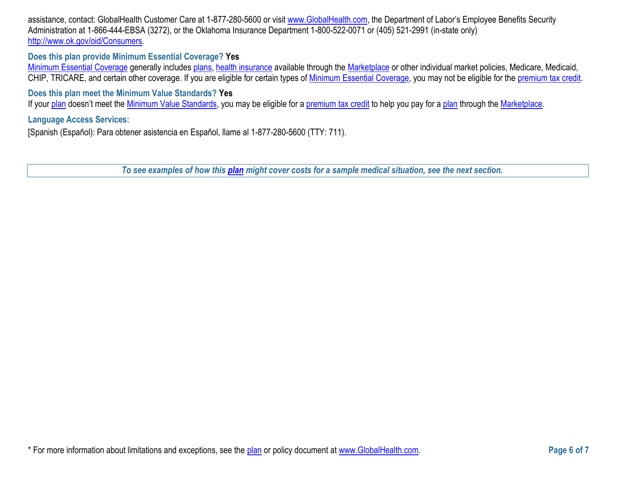assistance, contact: GlobalHealth Customer Care at 1-877-280-5600 or visit [www.GlobalHealth.com,](http://www.globalhealth.com/) the Department of Labor's Employee Benefits Security Administration at 1-866-444-EBSA (3272), or the Oklahoma Insurance Department 1-800-522-0071 or (405) 521-2991 (in-state only) [http://www.ok.gov/oid/Consumers.](http://www.ok.gov/oid/Consumers)

#### **Does this plan provide Minimum Essential Coverage? Yes**

[Minimum Essential Coverage](https://www.healthcare.gov/sbc-glossary/#minimum-essential-coverage) generally includes [plans,](https://www.healthcare.gov/sbc-glossary/#plan) [health insurance](https://www.healthcare.gov/sbc-glossary/#health-insurance) available through the [Marketplace](https://www.healthcare.gov/sbc-glossary/#marketplace) or other individual market policies, Medicare, Medicaid, CHIP, TRICARE, and certain other coverage. If you are eligible for certain types of [Minimum Essential Coverage,](https://www.healthcare.gov/sbc-glossary/#minimum-essential-coverage) you may not be eligible for the [premium tax credit.](https://www.healthcare.gov/sbc-glossary/#premium-tax-credits)

## **Does this plan meet the Minimum Value Standards? Yes**

If your [plan](https://www.healthcare.gov/sbc-glossary/#plan) doesn't meet the [Minimum Value Standards,](https://www.healthcare.gov/sbc-glossary/#minimum-value-standard) you may be eligible for a [premium tax credit](https://www.healthcare.gov/sbc-glossary/#premium-tax-credits) to help you pay for a plan through the [Marketplace.](https://www.healthcare.gov/sbc-glossary/#marketplace)

### **Language Access Services:**

[Spanish (Español): Para obtener asistencia en Español, llame al 1-877-280-5600 (TTY: 711).

*To see examples of how this [plan](https://www.healthcare.gov/sbc-glossary/#plan) might cover costs for a sample medical situation, see the next section.*